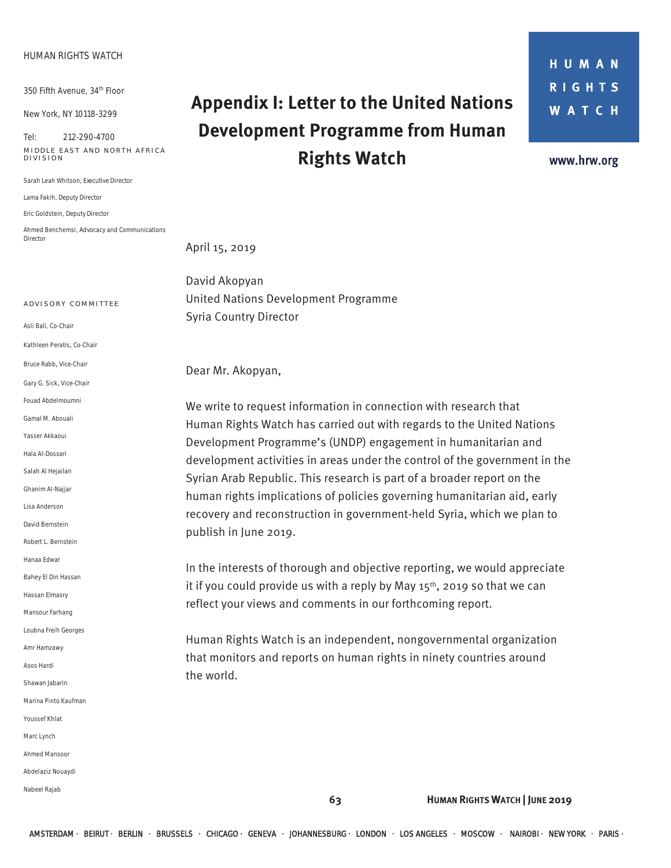### **HUMAN RIGHTS WATCH**

350 Fifth Avenue, 34th Floor

New York, NY 10118-3299

Tel: 212-290-4700 **MIDDLE EAST AND NORTH AFRICA DIVISION** 

Sarah Leah Whitson, *Executive Director* 

Lama Fakih, *Deputy Director* 

Eric Goldstein, *Deputy Director* 

Ahmed Benchemsi, *Advocacy and Communications Director* 

# **Appendix I: Letter to the United Nations Development Programme from Human Rights Watch**

**HUMAN RIGHTS WATCH** 

www.hrw.org

April 15, 2019

David Akopyan United Nations Development Programme Syria Country Director

Dear Mr. Akopyan,

We write to request information in connection with research that Human Rights Watch has carried out with regards to the United Nations Development Programme's (UNDP) engagement in humanitarian and development activities in areas under the control of the government in the Syrian Arab Republic. This research is part of a broader report on the human rights implications of policies governing humanitarian aid, early recovery and reconstruction in government-held Syria, which we plan to publish in June 2019.

In the interests of thorough and objective reporting, we would appreciate it if you could provide us with a reply by May  $15<sup>th</sup>$ , 2019 so that we can reflect your views and comments in our forthcoming report.

Human Rights Watch is an independent, nongovernmental organization that monitors and reports on human rights in ninety countries around the world.

**A DVISORY COMMITTEE** 

Asli Bali, *Co-Chair* Kathleen Peratis, *Co-Chair*  Bruce Rabb, *Vice-Chair*  Gary G. Sick, *Vice-Chair* Fouad Abdelmoumni Gamal M. Abouali Yasser Akkaoui Hala Al-Dossari Salah Al Hejailan Ghanim Al-Najjar Lisa Anderson David Bernstein Robert L. Bernstein Hanaa Edwar Bahey El Din Hassan Hassan Elmasry Mansour Farhang Loubna Freih Georges Amr Hamzawy Asos Hardi Shawan Jabarin Marina Pinto Kaufman Youssef Khlat Marc Lynch Ahmed Mansoor Abdelaziz Nouaydi Nabeel Rajab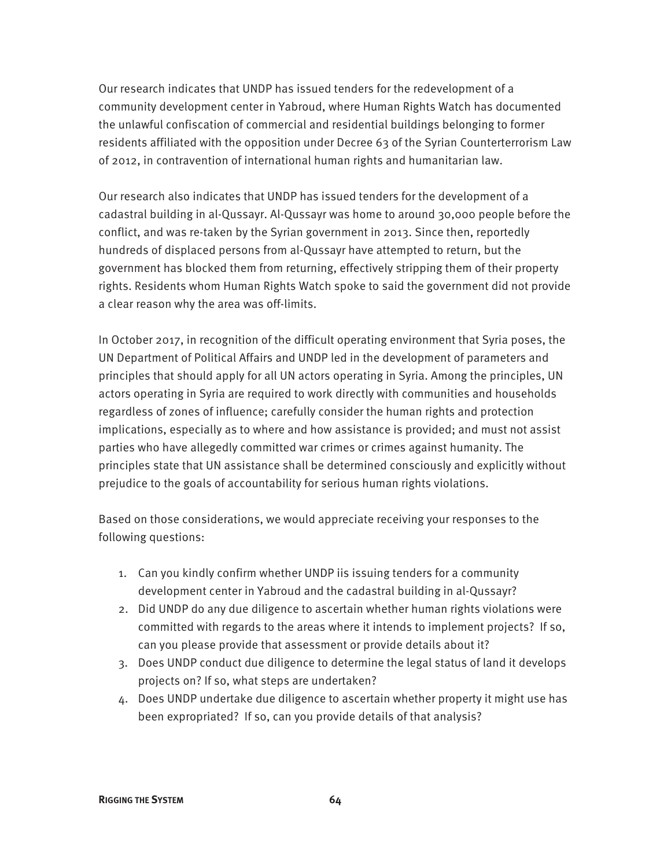Our research indicates that UNDP has issued tenders for the redevelopment of a community development center in Yabroud, where Human Rights Watch has documented the unlawful confiscation of commercial and residential buildings belonging to former residents affiliated with the opposition under Decree 63 of the Syrian Counterterrorism Law of 2012, in contravention of international human rights and humanitarian law.

Our research also indicates that UNDP has issued tenders for the development of a cadastral building in al-Qussayr. Al-Qussayr was home to around 30,000 people before the conflict, and was re-taken by the Syrian government in 2013. Since then, reportedly hundreds of displaced persons from al-Qussayr have attempted to return, but the government has blocked them from returning, effectively stripping them of their property rights. Residents whom Human Rights Watch spoke to said the government did not provide a clear reason why the area was off-limits.

In October 2017, in recognition of the difficult operating environment that Syria poses, the UN Department of Political Affairs and UNDP led in the development of parameters and principles that should apply for all UN actors operating in Syria. Among the principles, UN actors operating in Syria are required to work directly with communities and households regardless of zones of influence; carefully consider the human rights and protection implications, especially as to where and how assistance is provided; and must not assist parties who have allegedly committed war crimes or crimes against humanity. The principles state that UN assistance shall be determined consciously and explicitly without prejudice to the goals of accountability for serious human rights violations.

Based on those considerations, we would appreciate receiving your responses to the following questions:

- 1. Can you kindly confirm whether UNDP iis issuing tenders for a community development center in Yabroud and the cadastral building in al-Qussayr?
- 2. Did UNDP do any due diligence to ascertain whether human rights violations were committed with regards to the areas where it intends to implement projects? If so, can you please provide that assessment or provide details about it?
- 3. Does UNDP conduct due diligence to determine the legal status of land it develops projects on? If so, what steps are undertaken?
- 4. Does UNDP undertake due diligence to ascertain whether property it might use has been expropriated? If so, can you provide details of that analysis?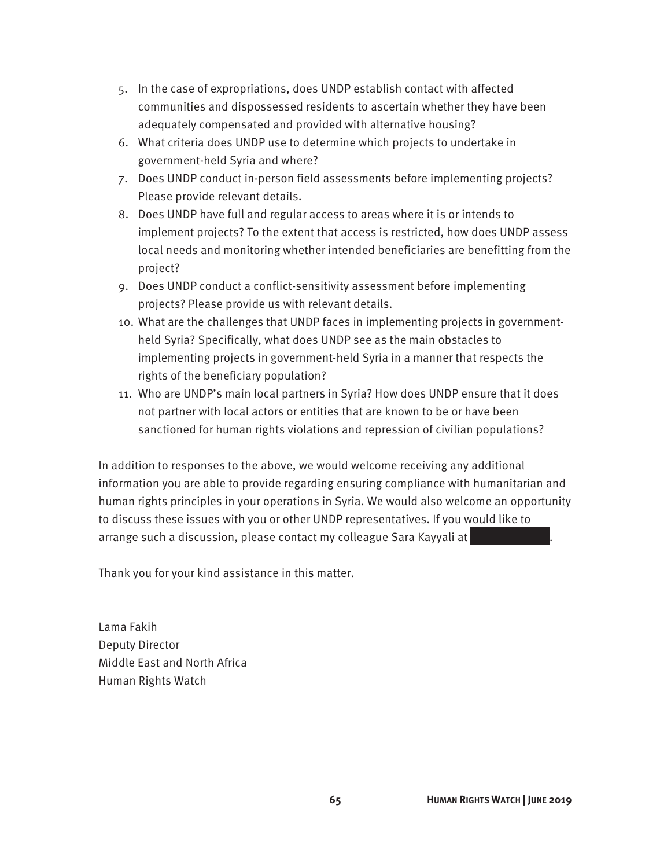- 5. In the case of expropriations, does UNDP establish contact with affected communities and dispossessed residents to ascertain whether they have been adequately compensated and provided with alternative housing?
- 6. What criteria does UNDP use to determine which projects to undertake in government-held Syria and where?
- 7. Does UNDP conduct in-person field assessments before implementing projects? Please provide relevant details.
- 8. Does UNDP have full and regular access to areas where it is or intends to implement projects? To the extent that access is restricted, how does UNDP assess local needs and monitoring whether intended beneficiaries are benefitting from the project?
- 9. Does UNDP conduct a conflict-sensitivity assessment before implementing projects? Please provide us with relevant details.
- 10. What are the challenges that UNDP faces in implementing projects in governmentheld Syria? Specifically, what does UNDP see as the main obstacles to implementing projects in government-held Syria in a manner that respects the rights of the beneficiary population?
- 11. Who are UNDP's main local partners in Syria? How does UNDP ensure that it does not partner with local actors or entities that are known to be or have been sanctioned for human rights violations and repression of civilian populations?

In addition to responses to the above, we would welcome receiving any additional information you are able to provide regarding ensuring compliance with humanitarian and human rights principles in your operations in Syria. We would also welcome an opportunity to discuss these issues with you or other UNDP representatives. If you would like to arrange such a discussion, please contact my colleague Sara Kayyali at

Thank you for your kind assistance in this matter.

Lama Fakih Deputy Director Middle East and North Africa Human Rights Watch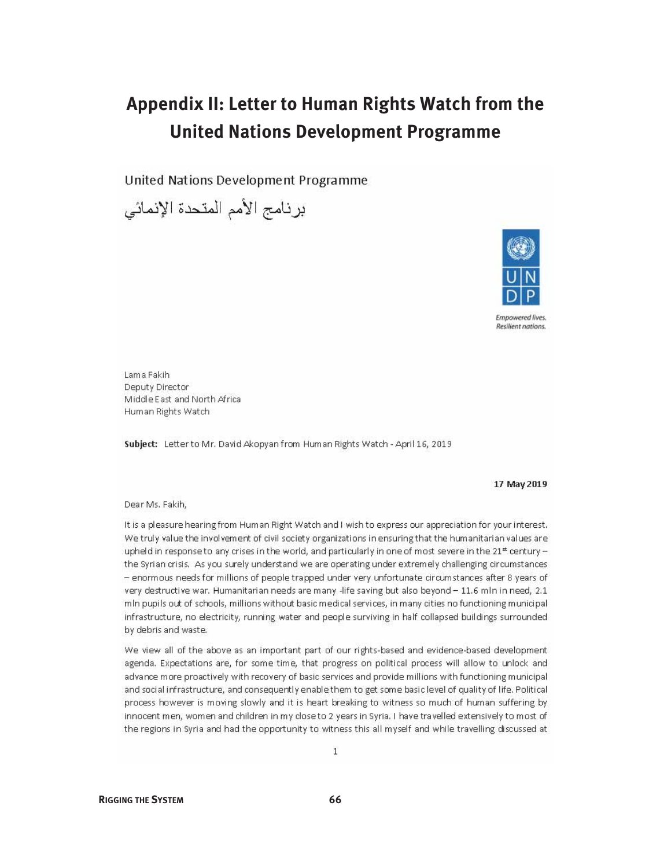### Appendix II: Letter to Human Rights Watch from the **United Nations Development Programme**

United Nations Development Programme

برنامج الأمم المتحدة الإنمائي



**Empowered lives.** Resilient nations.

Lama Fakih Deputy Director Middle East and North Africa Human Rights Watch

Subject: Letter to Mr. David Akopyan from Human Rights Watch - April 16, 2019

#### 17 May 2019

#### Dear Ms. Fakih,

It is a pleasure hearing from Human Right Watch and I wish to express our appreciation for your interest. We truly value the involvement of civil society organizations in ensuring that the humanitarian values are upheld in response to any crises in the world, and particularly in one of most severe in the  $21^{\text{st}}$  century the Syrian crisis. As you surely understand we are operating under extremely challenging circumstances - enormous needs for millions of people trapped under very unfortunate circumstances after 8 years of very destructive war. Humanitarian needs are many -life saving but also beyond - 11.6 mln in need, 2.1 mln pupils out of schools, millions without basic medical services, in many cities no functioning municipal infrastructure, no electricity, running water and people surviving in half collapsed buildings surrounded by debris and waste.

We view all of the above as an important part of our rights-based and evidence-based development agenda. Expectations are, for some time, that progress on political process will allow to unlock and advance more proactively with recovery of basic services and provide millions with functioning municipal and social infrastructure, and consequently enable them to get some basic level of quality of life. Political process however is moving slowly and it is heart breaking to witness so much of human suffering by innocent men, women and children in my close to 2 years in Syria. I have travelled extensively to most of the regions in Syria and had the opportunity to witness this all myself and while travelling discussed at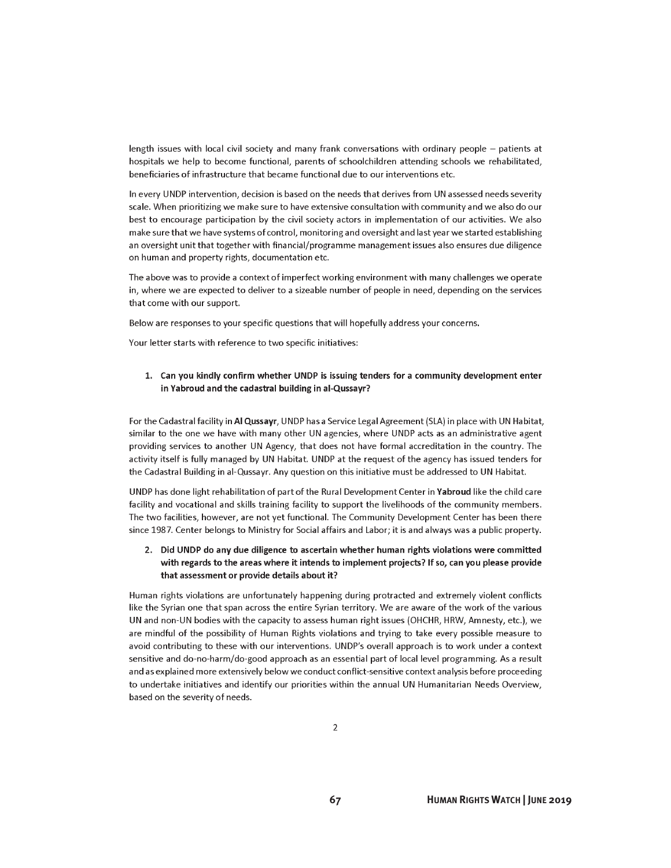length issues with local civil society and many frank conversations with ordinary people – patients at hospitals we help to become functional, parents of schoolchildren attending schools we rehabilitated, beneficiaries of infrastructure that became functional due to our interventions etc.

In every UNDP intervention, decision is based on the needs that derives from UN assessed needs severity scale. When prioritizing we make sure to have extensive consultation with community and we also do our best to encourage participation by the civil society actors in implementation of our activities. We also make sure that we have systems of control, monitoring and oversight and last year we started establishing an oversight unit that together with financial/programme management issues also ensures due diligence on human and property rights, documentation etc.

The above was to provide a context of imperfect working environment with many challenges we operate in, where we are expected to deliver to a sizeable number of people in need, depending on the services that come with our support.

Below are responses to your specific questions that will hopefully address your concerns.

Your letter starts with reference to two specific initiatives:

#### 1. Can you kindly confirm whether UNDP is issuing tenders for a community development enter in Yabroud and the cadastral building in al-Qussayr?

For the Cadastral facility in Al Qussayr, UNDP has a Service Legal Agreement (SLA) in place with UN Habitat, similar to the one we have with many other UN agencies, where UNDP acts as an administrative agent providing services to another UN Agency, that does not have formal accreditation in the country. The activity itself is fully managed by UN Habitat. UNDP at the request of the agency has issued tenders for the Cadastral Building in al-Qussayr. Any question on this initiative must be addressed to UN Habitat.

UNDP has done light rehabilitation of part of the Rural Development Center in Yabroud like the child care facility and vocational and skills training facility to support the livelihoods of the community members. The two facilities, however, are not yet functional. The Community Development Center has been there since 1987. Center belongs to Ministry for Social affairs and Labor; it is and always was a public property.

### 2. Did UNDP do any due diligence to ascertain whether human rights violations were committed with regards to the areas where it intends to implement projects? If so, can you please provide that assessment or provide details about it?

Human rights violations are unfortunately happening during protracted and extremely violent conflicts like the Syrian one that span across the entire Syrian territory. We are aware of the work of the various UN and non-UN bodies with the capacity to assess human right issues (OHCHR, HRW, Amnesty, etc.), we are mindful of the possibility of Human Rights violations and trying to take every possible measure to avoid contributing to these with our interventions. UNDP's overall approach is to work under a context sensitive and do-no-harm/do-good approach as an essential part of local level programming. As a result and as explained more extensively below we conduct conflict-sensitive context analysis before proceeding to undertake initiatives and identify our priorities within the annual UN Humanitarian Needs Overview, based on the severity of needs.

67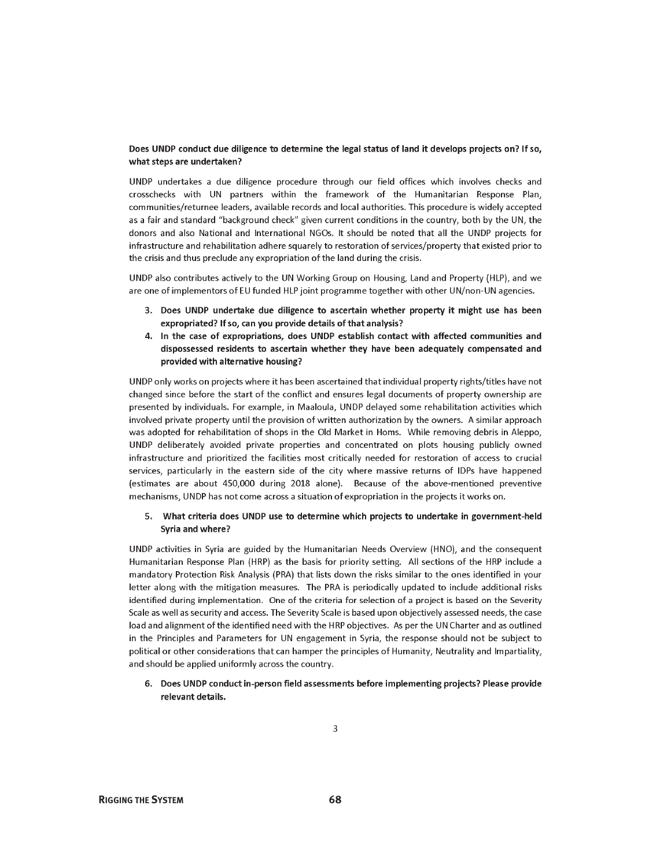#### Does UNDP conduct due diligence to determine the legal status of land it develops projects on? If so, what steps are undertaken?

UNDP undertakes a due diligence procedure through our field offices which involves checks and crosschecks with UN partners within the framework of the Humanitarian Response Plan, communities/returnee leaders, available records and local authorities. This procedure is widely accepted as a fair and standard "background check" given current conditions in the country, both by the UN, the donors and also National and International NGOs. It should be noted that all the UNDP projects for infrastructure and rehabilitation adhere squarely to restoration of services/property that existed prior to the crisis and thus preclude any expropriation of the land during the crisis.

UNDP also contributes actively to the UN Working Group on Housing, Land and Property (HLP), and we are one of implementors of EU funded HLP joint programme together with other UN/non-UN agencies.

- 3. Does UNDP undertake due diligence to ascertain whether property it might use has been expropriated? If so, can you provide details of that analysis?
- 4. In the case of expropriations, does UNDP establish contact with affected communities and dispossessed residents to ascertain whether they have been adequately compensated and provided with alternative housing?

UNDP only works on projects where it has been ascertained that individual property rights/titles have not changed since before the start of the conflict and ensures legal documents of property ownership are presented by individuals. For example, in Maaloula, UNDP delayed some rehabilitation activities which involved private property until the provision of written authorization by the owners. A similar approach was adopted for rehabilitation of shops in the Old Market in Homs. While removing debris in Aleppo, UNDP deliberately avoided private properties and concentrated on plots housing publicly owned infrastructure and prioritized the facilities most critically needed for restoration of access to crucial services, particularly in the eastern side of the city where massive returns of IDPs have happened (estimates are about 450,000 during 2018 alone). Because of the above-mentioned preventive mechanisms, UNDP has not come across a situation of expropriation in the projects it works on.

#### 5. What criteria does UNDP use to determine which projects to undertake in government-held Syria and where?

UNDP activities in Syria are guided by the Humanitarian Needs Overview (HNO), and the consequent Humanitarian Response Plan (HRP) as the basis for priority setting. All sections of the HRP include a mandatory Protection Risk Analysis (PRA) that lists down the risks similar to the ones identified in your letter along with the mitigation measures. The PRA is periodically updated to include additional risks identified during implementation. One of the criteria for selection of a project is based on the Severity Scale as well as security and access. The Severity Scale is based upon objectively assessed needs, the case load and alignment of the identified need with the HRP objectives. As per the UN Charter and as outlined in the Principles and Parameters for UN engagement in Syria, the response should not be subject to political or other considerations that can hamper the principles of Humanity, Neutrality and Impartiality, and should be applied uniformly across the country.

#### 6. Does UNDP conduct in-person field assessments before implementing projects? Please provide relevant details.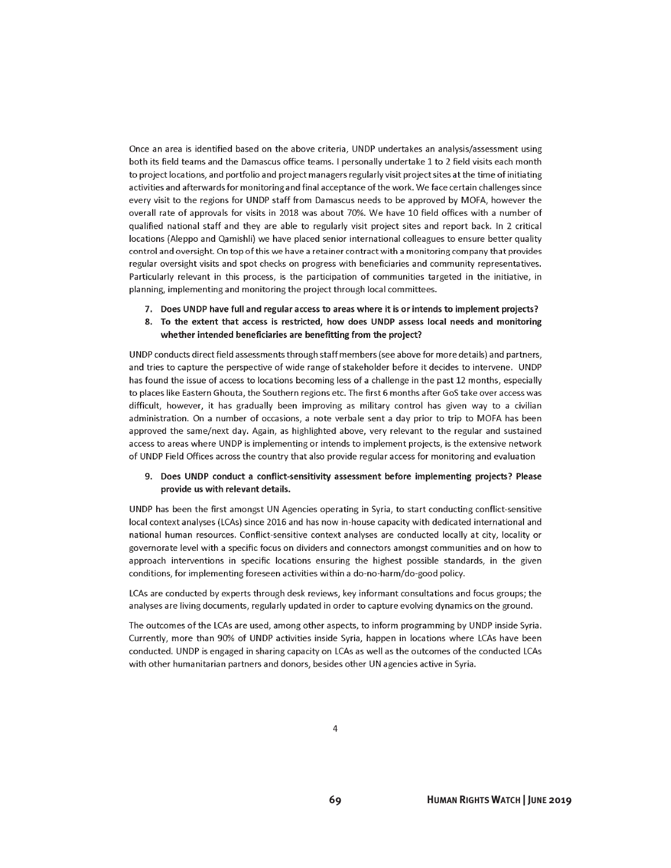Once an area is identified based on the above criteria, UNDP undertakes an analysis/assessment using both its field teams and the Damascus office teams. I personally undertake 1 to 2 field visits each month to project locations, and portfolio and project managers regularly visit project sites at the time of initiating activities and afterwards for monitoring and final acceptance of the work. We face certain challenges since every visit to the regions for UNDP staff from Damascus needs to be approved by MOFA, however the overall rate of approvals for visits in 2018 was about 70%. We have 10 field offices with a number of qualified national staff and they are able to regularly visit project sites and report back. In 2 critical locations (Aleppo and Qamishli) we have placed senior international colleagues to ensure better quality control and oversight. On top of this we have a retainer contract with a monitoring company that provides regular oversight visits and spot checks on progress with beneficiaries and community representatives. Particularly relevant in this process, is the participation of communities targeted in the initiative, in planning, implementing and monitoring the project through local committees.

- 7. Does UNDP have full and regular access to areas where it is or intends to implement projects?
- 8. To the extent that access is restricted, how does UNDP assess local needs and monitoring whether intended beneficiaries are benefitting from the project?

UNDP conducts direct field assessments through staff members (see above for more details) and partners, and tries to capture the perspective of wide range of stakeholder before it decides to intervene. UNDP has found the issue of access to locations becoming less of a challenge in the past 12 months, especially to places like Eastern Ghouta, the Southern regions etc. The first 6 months after GoS take over access was difficult, however, it has gradually been improving as military control has given way to a civilian administration. On a number of occasions, a note verbale sent a day prior to trip to MOFA has been approved the same/next day. Again, as highlighted above, very relevant to the regular and sustained access to areas where UNDP is implementing or intends to implement projects, is the extensive network of UNDP Field Offices across the country that also provide regular access for monitoring and evaluation

#### 9. Does UNDP conduct a conflict-sensitivity assessment before implementing projects? Please provide us with relevant details.

UNDP has been the first amongst UN Agencies operating in Syria, to start conducting conflict-sensitive local context analyses (LCAs) since 2016 and has now in-house capacity with dedicated international and national human resources. Conflict-sensitive context analyses are conducted locally at city, locality or governorate level with a specific focus on dividers and connectors amongst communities and on how to approach interventions in specific locations ensuring the highest possible standards, in the given conditions, for implementing foreseen activities within a do-no-harm/do-good policy.

LCAs are conducted by experts through desk reviews, key informant consultations and focus groups; the analyses are living documents, regularly updated in order to capture evolving dynamics on the ground.

The outcomes of the LCAs are used, among other aspects, to inform programming by UNDP inside Syria. Currently, more than 90% of UNDP activities inside Syria, happen in locations where LCAs have been conducted. UNDP is engaged in sharing capacity on LCAs as well as the outcomes of the conducted LCAs with other humanitarian partners and donors, besides other UN agencies active in Syria.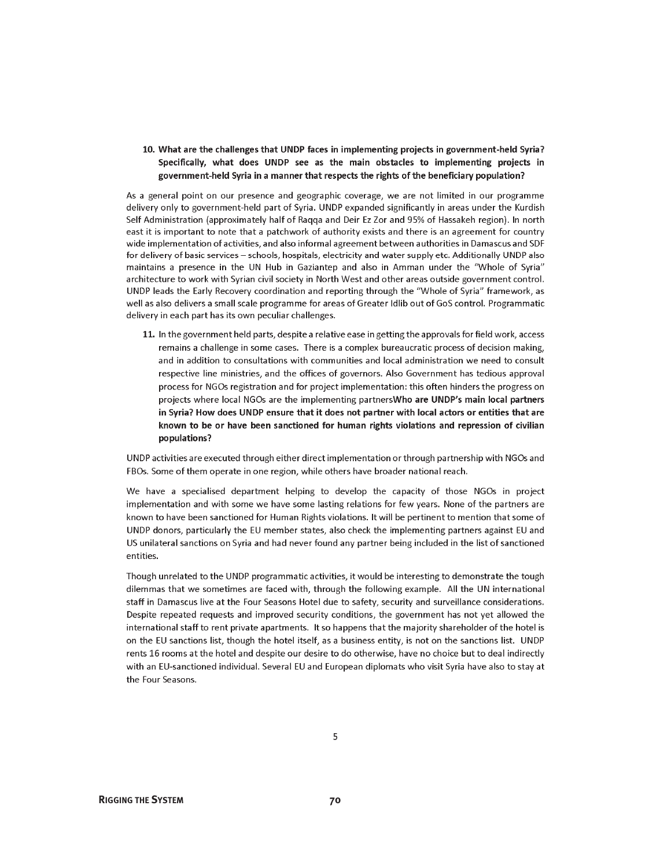### 10. What are the challenges that UNDP faces in implementing projects in government-held Syria? Specifically, what does UNDP see as the main obstacles to implementing projects in government-held Syria in a manner that respects the rights of the beneficiary population?

As a general point on our presence and geographic coverage, we are not limited in our programme delivery only to government-held part of Syria. UNDP expanded significantly in areas under the Kurdish Self Administration (approximately half of Ragga and Deir Ez Zor and 95% of Hassakeh region). In north east it is important to note that a patchwork of authority exists and there is an agreement for country wide implementation of activities, and also informal agreement between authorities in Damascus and SDF for delivery of basic services - schools, hospitals, electricity and water supply etc. Additionally UNDP also maintains a presence in the UN Hub in Gaziantep and also in Amman under the "Whole of Syria" architecture to work with Syrian civil society in North West and other areas outside government control. UNDP leads the Early Recovery coordination and reporting through the "Whole of Syria" framework, as well as also delivers a small scale programme for areas of Greater Idlib out of GoS control. Programmatic delivery in each part has its own peculiar challenges.

11. In the government held parts, despite a relative ease in getting the approvals for field work, access remains a challenge in some cases. There is a complex bureaucratic process of decision making, and in addition to consultations with communities and local administration we need to consult respective line ministries, and the offices of governors. Also Government has tedious approval process for NGOs registration and for project implementation: this often hinders the progress on projects where local NGOs are the implementing partnersWho are UNDP's main local partners in Syria? How does UNDP ensure that it does not partner with local actors or entities that are known to be or have been sanctioned for human rights violations and repression of civilian populations?

UNDP activities are executed through either direct implementation or through partnership with NGOs and FBOs. Some of them operate in one region, while others have broader national reach.

We have a specialised department helping to develop the capacity of those NGOs in project implementation and with some we have some lasting relations for few years. None of the partners are known to have been sanctioned for Human Rights violations. It will be pertinent to mention that some of UNDP donors, particularly the EU member states, also check the implementing partners against EU and US unilateral sanctions on Syria and had never found any partner being included in the list of sanctioned entities.

Though unrelated to the UNDP programmatic activities, it would be interesting to demonstrate the tough dilemmas that we sometimes are faced with, through the following example. All the UN international staff in Damascus live at the Four Seasons Hotel due to safety, security and surveillance considerations. Despite repeated requests and improved security conditions, the government has not yet allowed the international staff to rent private apartments. It so happens that the majority shareholder of the hotel is on the EU sanctions list, though the hotel itself, as a business entity, is not on the sanctions list. UNDP rents 16 rooms at the hotel and despite our desire to do otherwise, have no choice but to deal indirectly with an EU-sanctioned individual. Several EU and European diplomats who visit Syria have also to stay at the Four Seasons.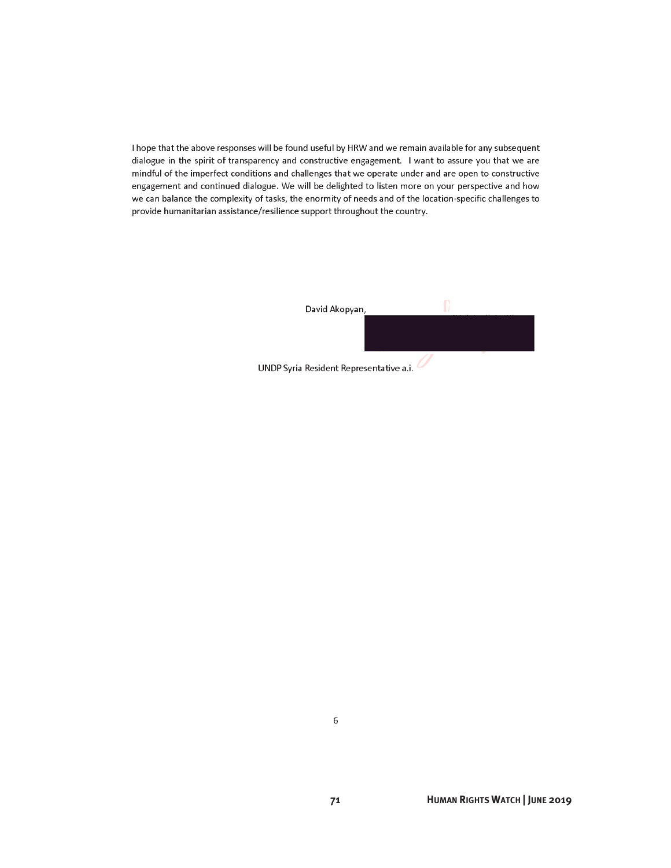I hope that the above responses will be found useful by HRW and we remain available for any subsequent dialogue in the spirit of transparency and constructive engagement. I want to assure you that we are mindful of the imperfect conditions and challenges that we operate under and are open to constructive engagement and continued dialogue. We will be delighted to listen more on your perspective and how we can balance the complexity of tasks, the enormity of needs and of the location-specific challenges to provide humanitarian assistance/resilience support throughout the country.

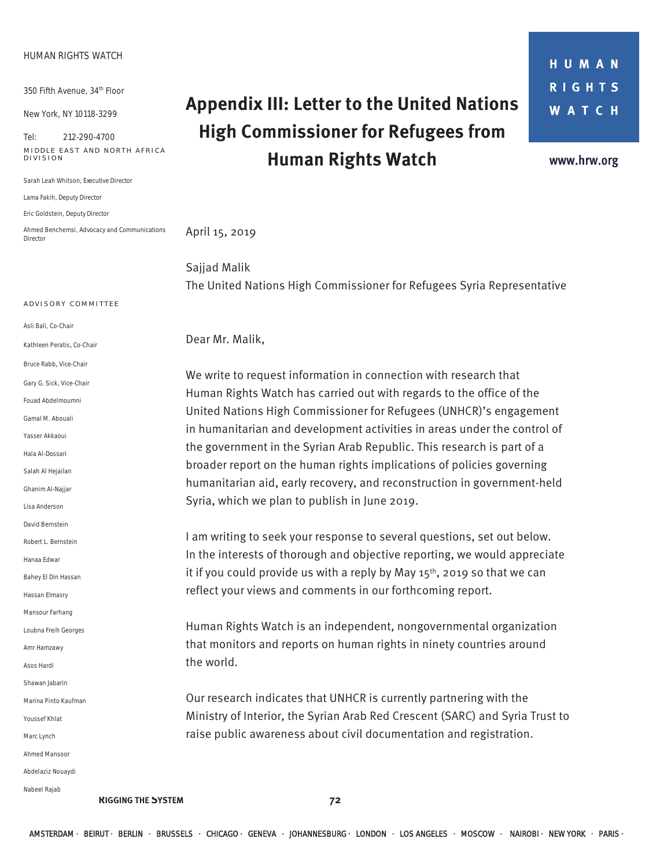#### **HUMAN RIGHTS WATCH**

350 Fifth Avenue, 34th Floor

New York, NY 10118-3299

Tel: 212-290-4700 **MIDDLE EAST AND NORTH AFRICA DIVISION** 

Sarah Leah Whitson, *Executive Director* 

Lama Fakih, *Deputy Director* 

Eric Goldstein, *Deputy Director* 

Ahmed Benchemsi, *Advocacy and Communications Director* 

### **A DVISORY COMMITTEE**

Asli Bali, *Co-Chair*

Kathleen Peratis, *Co-Chair* 

Bruce Rabb, *Vice-Chair* 

Gary G. Sick, *Vice-Chair*

Fouad Abdelmoumni

Gamal M. Abouali

Yasser Akkaoui

Hala Al-Dossari

Salah Al Hejailan

Ghanim Al-Najjar

Lisa Anderson

David Bernstein

Robert L. Bernstein

Hanaa Edwar

Bahey El Din Hassan

Hassan Elmasry

Mansour Farhang

Loubna Freih Georges

Amr Hamzawy

Asos Hardi

Shawan Jabarin

Marina Pinto Kaufman

Youssef Khlat

Marc Lynch

Ahmed Mansoor

Abdelaziz Nouaydi

Nabeel Rajab

**RIGGING THE SYSTEM 72** 

## **Appendix III: Letter to the United Nations High Commissioner for Refugees from Human Rights Watch**

**HUMAN RIGHTS WATCH** 

www.hrw.org

April 15, 2019

Sajjad Malik The United Nations High Commissioner for Refugees Syria Representative

Dear Mr. Malik,

We write to request information in connection with research that Human Rights Watch has carried out with regards to the office of the United Nations High Commissioner for Refugees (UNHCR)'s engagement in humanitarian and development activities in areas under the control of the government in the Syrian Arab Republic. This research is part of a broader report on the human rights implications of policies governing humanitarian aid, early recovery, and reconstruction in government-held Syria, which we plan to publish in June 2019.

I am writing to seek your response to several questions, set out below. In the interests of thorough and objective reporting, we would appreciate it if you could provide us with a reply by May  $15<sup>th</sup>$ , 2019 so that we can reflect your views and comments in our forthcoming report.

Human Rights Watch is an independent, nongovernmental organization that monitors and reports on human rights in ninety countries around the world.

Our research indicates that UNHCR is currently partnering with the Ministry of Interior, the Syrian Arab Red Crescent (SARC) and Syria Trust to raise public awareness about civil documentation and registration.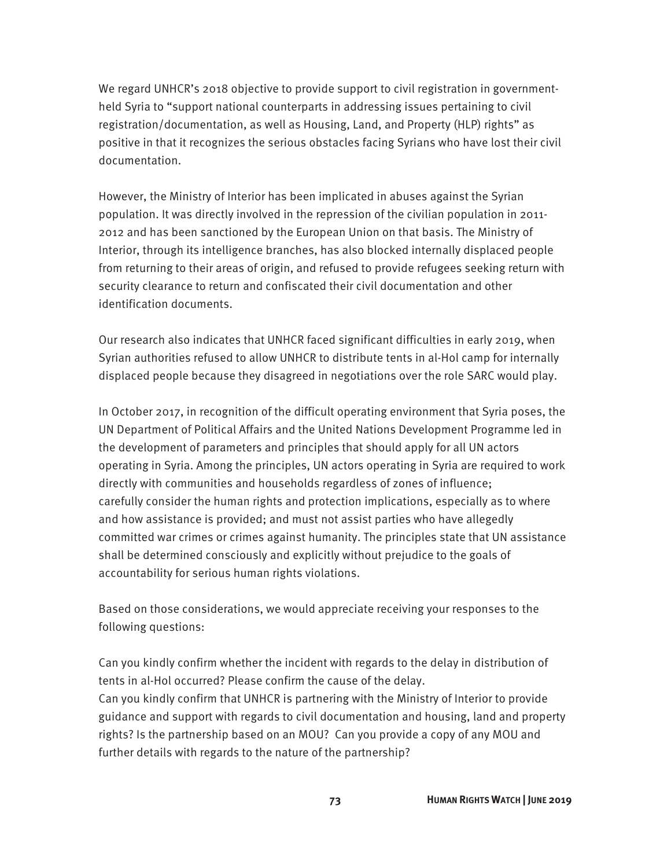We regard UNHCR's 2018 objective to provide support to civil registration in governmentheld Syria to "support national counterparts in addressing issues pertaining to civil registration/documentation, as well as Housing, Land, and Property (HLP) rights" as positive in that it recognizes the serious obstacles facing Syrians who have lost their civil documentation.

However, the Ministry of Interior has been implicated in abuses against the Syrian population. It was directly involved in the repression of the civilian population in 2011- 2012 and has been sanctioned by the European Union on that basis. The Ministry of Interior, through its intelligence branches, has also blocked internally displaced people from returning to their areas of origin, and refused to provide refugees seeking return with security clearance to return and confiscated their civil documentation and other identification documents.

Our research also indicates that UNHCR faced significant difficulties in early 2019, when Syrian authorities refused to allow UNHCR to distribute tents in al-Hol camp for internally displaced people because they disagreed in negotiations over the role SARC would play.

In October 2017, in recognition of the difficult operating environment that Syria poses, the UN Department of Political Affairs and the United Nations Development Programme led in the development of parameters and principles that should apply for all UN actors operating in Syria. Among the principles, UN actors operating in Syria are required to work directly with communities and households regardless of zones of influence; carefully consider the human rights and protection implications, especially as to where and how assistance is provided; and must not assist parties who have allegedly committed war crimes or crimes against humanity. The principles state that UN assistance shall be determined consciously and explicitly without prejudice to the goals of accountability for serious human rights violations.

Based on those considerations, we would appreciate receiving your responses to the following questions:

Can you kindly confirm whether the incident with regards to the delay in distribution of tents in al-Hol occurred? Please confirm the cause of the delay. Can you kindly confirm that UNHCR is partnering with the Ministry of Interior to provide guidance and support with regards to civil documentation and housing, land and property rights? Is the partnership based on an MOU? Can you provide a copy of any MOU and further details with regards to the nature of the partnership?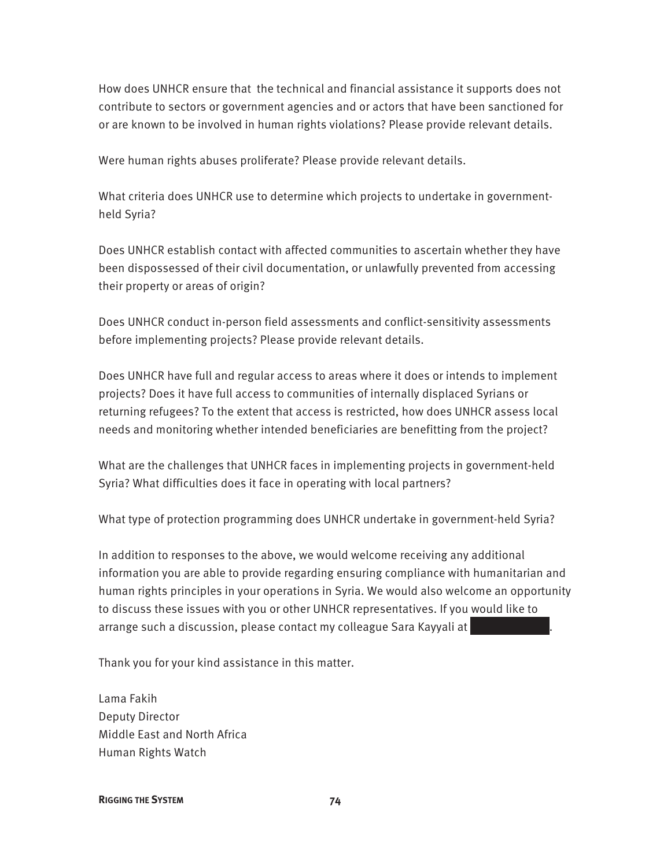How does UNHCR ensure that the technical and financial assistance it supports does not contribute to sectors or government agencies and or actors that have been sanctioned for or are known to be involved in human rights violations? Please provide relevant details.

Were human rights abuses proliferate? Please provide relevant details.

What criteria does UNHCR use to determine which projects to undertake in governmentheld Syria?

Does UNHCR establish contact with affected communities to ascertain whether they have been dispossessed of their civil documentation, or unlawfully prevented from accessing their property or areas of origin?

Does UNHCR conduct in-person field assessments and conflict-sensitivity assessments before implementing projects? Please provide relevant details.

Does UNHCR have full and regular access to areas where it does or intends to implement projects? Does it have full access to communities of internally displaced Syrians or returning refugees? To the extent that access is restricted, how does UNHCR assess local needs and monitoring whether intended beneficiaries are benefitting from the project?

What are the challenges that UNHCR faces in implementing projects in government-held Syria? What difficulties does it face in operating with local partners?

What type of protection programming does UNHCR undertake in government-held Syria?

In addition to responses to the above, we would welcome receiving any additional information you are able to provide regarding ensuring compliance with humanitarian and human rights principles in your operations in Syria. We would also welcome an opportunity to discuss these issues with you or other UNHCR representatives. If you would like to arrange such a discussion, please contact my colleague Sara Kayyali at

Thank you for your kind assistance in this matter.

Lama Fakih Deputy Director Middle East and North Africa Human Rights Watch

**RIGGING THE SYSTEM 74**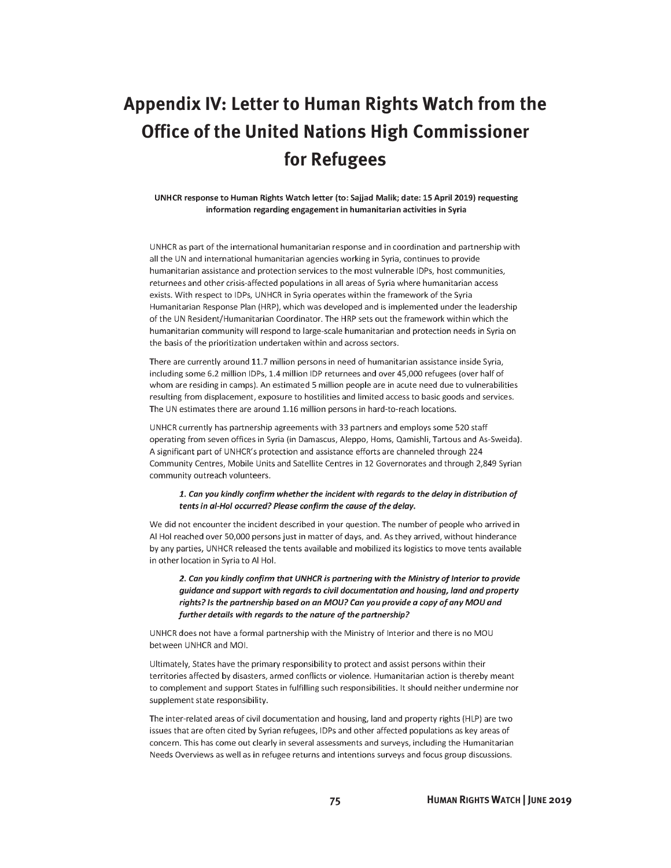## **Appendix IV: Letter to Human Rights Watch from the Office of the United Nations High Commissioner** for Refugees

#### UNHCR response to Human Rights Watch letter (to: Sajjad Malik; date: 15 April 2019) requesting information regarding engagement in humanitarian activities in Syria

UNHCR as part of the international humanitarian response and in coordination and partnership with all the UN and international humanitarian agencies working in Syria, continues to provide humanitarian assistance and protection services to the most vulnerable IDPs, host communities, returnees and other crisis-affected populations in all areas of Syria where humanitarian access exists. With respect to IDPs, UNHCR in Syria operates within the framework of the Syria Humanitarian Response Plan (HRP), which was developed and is implemented under the leadership of the UN Resident/Humanitarian Coordinator. The HRP sets out the framework within which the humanitarian community will respond to large-scale humanitarian and protection needs in Syria on the basis of the prioritization undertaken within and across sectors.

There are currently around 11.7 million persons in need of humanitarian assistance inside Syria, including some 6.2 million IDPs, 1.4 million IDP returnees and over 45,000 refugees (over half of whom are residing in camps). An estimated 5 million people are in acute need due to vulnerabilities resulting from displacement, exposure to hostilities and limited access to basic goods and services. The UN estimates there are around 1.16 million persons in hard-to-reach locations.

UNHCR currently has partnership agreements with 33 partners and employs some 520 staff operating from seven offices in Syria (in Damascus, Aleppo, Homs, Qamishli, Tartous and As-Sweida). A significant part of UNHCR's protection and assistance efforts are channeled through 224 Community Centres, Mobile Units and Satellite Centres in 12 Governorates and through 2,849 Syrian community outreach volunteers.

#### 1. Can you kindly confirm whether the incident with regards to the delay in distribution of tents in al-Hol occurred? Please confirm the cause of the delay.

We did not encounter the incident described in your question. The number of people who arrived in Al Hol reached over 50,000 persons just in matter of days, and. As they arrived, without hinderance by any parties, UNHCR released the tents available and mobilized its logistics to move tents available in other location in Syria to Al Hol.

2. Can you kindly confirm that UNHCR is partnering with the Ministry of Interior to provide guidance and support with regards to civil documentation and housing, land and property rights? Is the partnership based on an MOU? Can you provide a copy of any MOU and further details with regards to the nature of the partnership?

UNHCR does not have a formal partnership with the Ministry of Interior and there is no MOU between UNHCR and MOI.

Ultimately, States have the primary responsibility to protect and assist persons within their territories affected by disasters, armed conflicts or violence. Humanitarian action is thereby meant to complement and support States in fulfilling such responsibilities. It should neither undermine nor supplement state responsibility.

The inter-related areas of civil documentation and housing, land and property rights (HLP) are two issues that are often cited by Syrian refugees, IDPs and other affected populations as key areas of concern. This has come out clearly in several assessments and surveys, including the Humanitarian Needs Overviews as well as in refugee returns and intentions surveys and focus group discussions.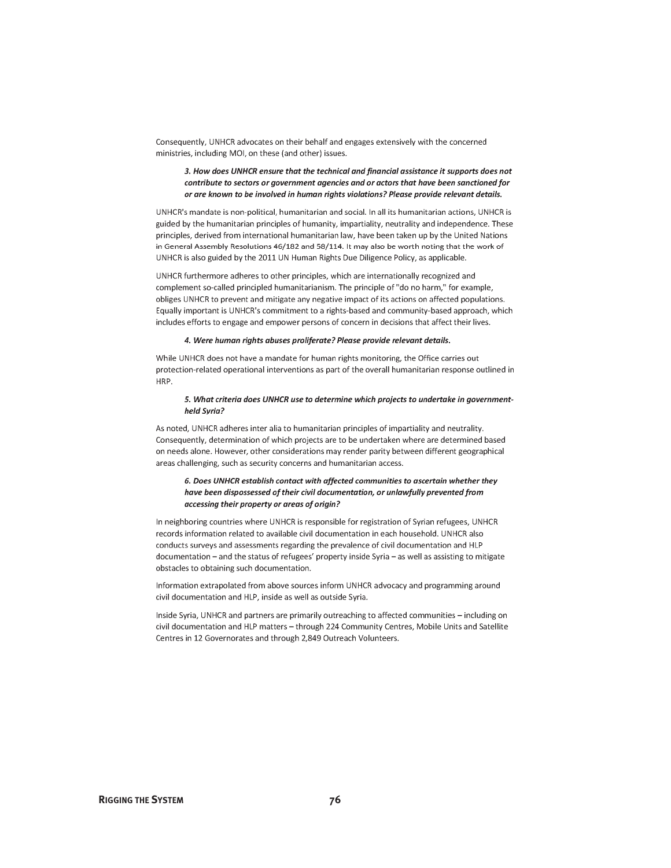Consequently, UNHCR advocates on their behalf and engages extensively with the concerned ministries, including MOI, on these (and other) issues.

#### 3. How does UNHCR ensure that the technical and financial assistance it supports does not contribute to sectors or government agencies and or actors that have been sanctioned for or are known to be involved in human rights violations? Please provide relevant details.

UNHCR's mandate is non-political, humanitarian and social. In all its humanitarian actions, UNHCR is guided by the humanitarian principles of humanity, impartiality, neutrality and independence. These principles, derived from international humanitarian law, have been taken up by the United Nations in General Assembly Resolutions 46/182 and 58/114. It may also be worth noting that the work of UNHCR is also guided by the 2011 UN Human Rights Due Diligence Policy, as applicable.

UNHCR furthermore adheres to other principles, which are internationally recognized and complement so-called principled humanitarianism. The principle of "do no harm." for example. obliges UNHCR to prevent and mitigate any negative impact of its actions on affected populations. Equally important is UNHCR's commitment to a rights-based and community-based approach, which includes efforts to engage and empower persons of concern in decisions that affect their lives.

#### 4. Were human rights abuses proliferate? Please provide relevant details.

While UNHCR does not have a mandate for human rights monitoring, the Office carries out protection-related operational interventions as part of the overall humanitarian response outlined in HRP.

#### 5. What criteria does UNHCR use to determine which projects to undertake in governmentheld Syria?

As noted, UNHCR adheres inter alia to humanitarian principles of impartiality and neutrality. Consequently, determination of which projects are to be undertaken where are determined based on needs alone. However, other considerations may render parity between different geographical areas challenging, such as security concerns and humanitarian access.

#### 6. Does UNHCR establish contact with affected communities to ascertain whether they have been dispossessed of their civil documentation, or unlawfully prevented from accessing their property or areas of origin?

In neighboring countries where UNHCR is responsible for registration of Syrian refugees, UNHCR records information related to available civil documentation in each household. UNHCR also conducts surveys and assessments regarding the prevalence of civil documentation and HLP documentation - and the status of refugees' property inside Syria - as well as assisting to mitigate obstacles to obtaining such documentation.

Information extrapolated from above sources inform UNHCR advocacy and programming around civil documentation and HLP, inside as well as outside Syria.

Inside Syria, UNHCR and partners are primarily outreaching to affected communities - including on civil documentation and HLP matters - through 224 Community Centres, Mobile Units and Satellite Centres in 12 Governorates and through 2,849 Outreach Volunteers.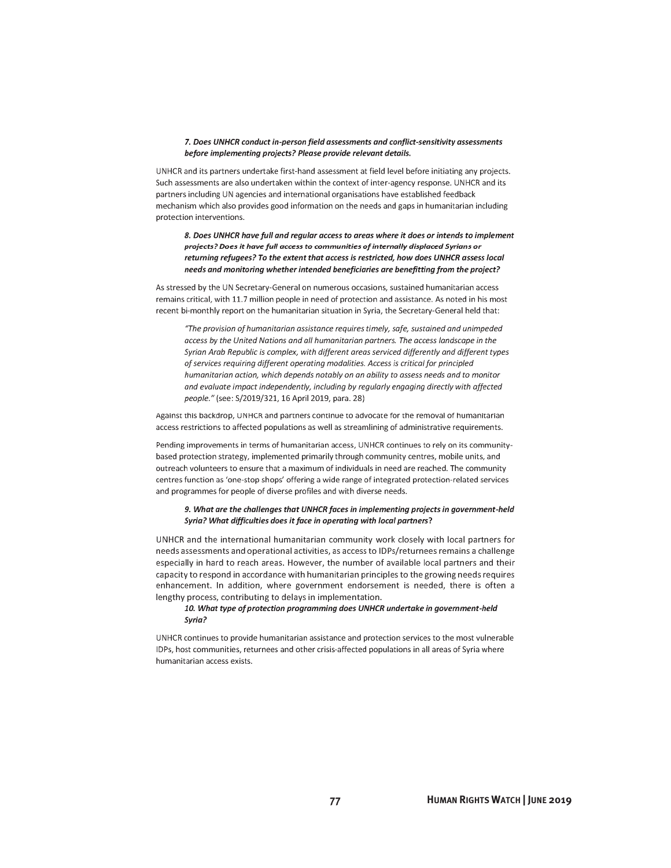#### 7. Does UNHCR conduct in-person field assessments and conflict-sensitivity assessments before implementing projects? Please provide relevant details.

UNHCR and its partners undertake first-hand assessment at field level before initiating any projects. Such assessments are also undertaken within the context of inter-agency response. UNHCR and its partners including UN agencies and international organisations have established feedback mechanism which also provides good information on the needs and gaps in humanitarian including protection interventions.

8. Does UNHCR have full and regular access to areas where it does or intends to implement projects? Does it have full access to communities of internally displaced Syrians or returning refugees? To the extent that access is restricted, how does UNHCR assess local needs and monitoring whether intended beneficiaries are benefitting from the project?

As stressed by the UN Secretary-General on numerous occasions, sustained humanitarian access remains critical, with 11.7 million people in need of protection and assistance. As noted in his most recent bi-monthly report on the humanitarian situation in Syria, the Secretary-General held that:

"The provision of humanitarian assistance requires timely, safe, sustained and unimpeded access by the United Nations and all humanitarian partners. The access landscape in the Syrian Arab Republic is complex, with different areas serviced differently and different types of services requiring different operating modalities. Access is critical for principled humanitarian action, which depends notably on an ability to assess needs and to monitor and evaluate impact independently, including by regularly engaging directly with affected people." (see: S/2019/321, 16 April 2019, para. 28)

Against this backdrop, UNHCR and partners continue to advocate for the removal of humanitarian access restrictions to affected populations as well as streamlining of administrative requirements.

Pending improvements in terms of humanitarian access, UNHCR continues to rely on its communitybased protection strategy, implemented primarily through community centres, mobile units, and outreach volunteers to ensure that a maximum of individuals in need are reached. The community centres function as 'one-stop shops' offering a wide range of integrated protection-related services and programmes for people of diverse profiles and with diverse needs.

#### 9. What are the challenges that UNHCR faces in implementing projects in government-held Syria? What difficulties does it face in operating with local partners?

UNHCR and the international humanitarian community work closely with local partners for needs assessments and operational activities, as access to IDPs/returnees remains a challenge especially in hard to reach areas. However, the number of available local partners and their capacity to respond in accordance with humanitarian principles to the growing needs requires enhancement. In addition, where government endorsement is needed, there is often a lengthy process, contributing to delays in implementation.

#### 10. What type of protection programming does UNHCR undertake in government-held Syria?

UNHCR continues to provide humanitarian assistance and protection services to the most vulnerable IDPs, host communities, returnees and other crisis-affected populations in all areas of Syria where humanitarian access exists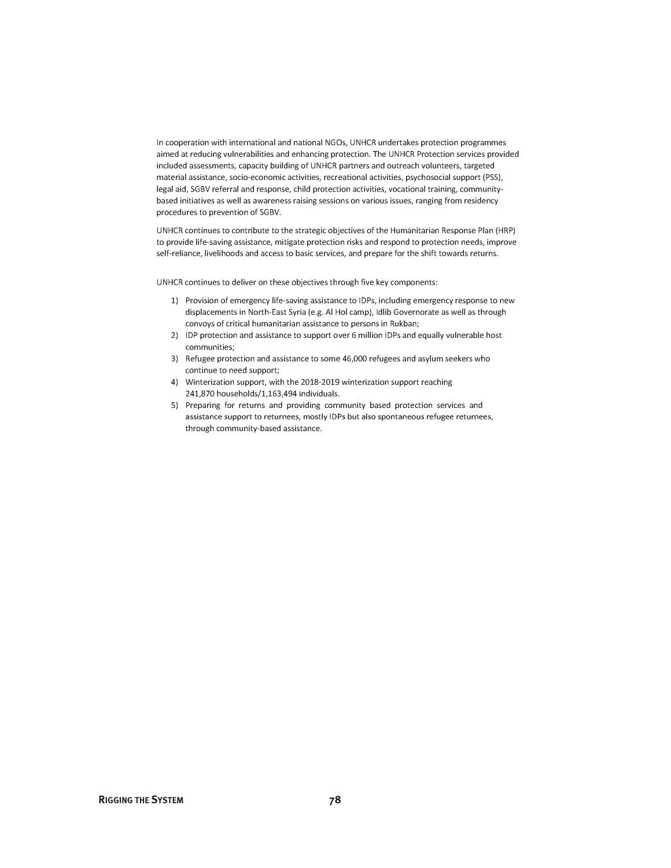In cooperation with international and national NGOs, UNHCR undertakes protection programmes aimed at reducing vulnerabilities and enhancing protection. The UNHCR Protection services provided included assessments, capacity building of UNHCR partners and outreach volunteers, targeted material assistance, socio-economic activities, recreational activities, psychosocial support (PSS), legal aid, SGBV referral and response, child protection activities, vocational training, communitybased initiatives as well as awareness raising sessions on various issues, ranging from residency procedures to prevention of SGBV.

UNHCR continues to contribute to the strategic objectives of the Humanitarian Response Plan (HRP) to provide life-saving assistance, mitigate protection risks and respond to protection needs, improve self-reliance, livelihoods and access to basic services, and prepare for the shift towards returns.

UNHCR continues to deliver on these objectives through five key components:

- 1) Provision of emergency life-saving assistance to IDPs, including emergency response to new displacements in North-East Syria (e.g. Al Hol camp), Idlib Governorate as well as through convoys of critical humanitarian assistance to persons in Rukban;
- 2) IDP protection and assistance to support over 6 million IDPs and equally vulnerable host communities:
- 3) Refugee protection and assistance to some 46,000 refugees and asylum seekers who continue to need support;
- 4) Winterization support, with the 2018-2019 winterization support reaching 241,870 households/1,163,494 individuals.
- 5) Preparing for returns and providing community based protection services and assistance support to returnees, mostly IDPs but also spontaneous refugee returnees, through community-based assistance.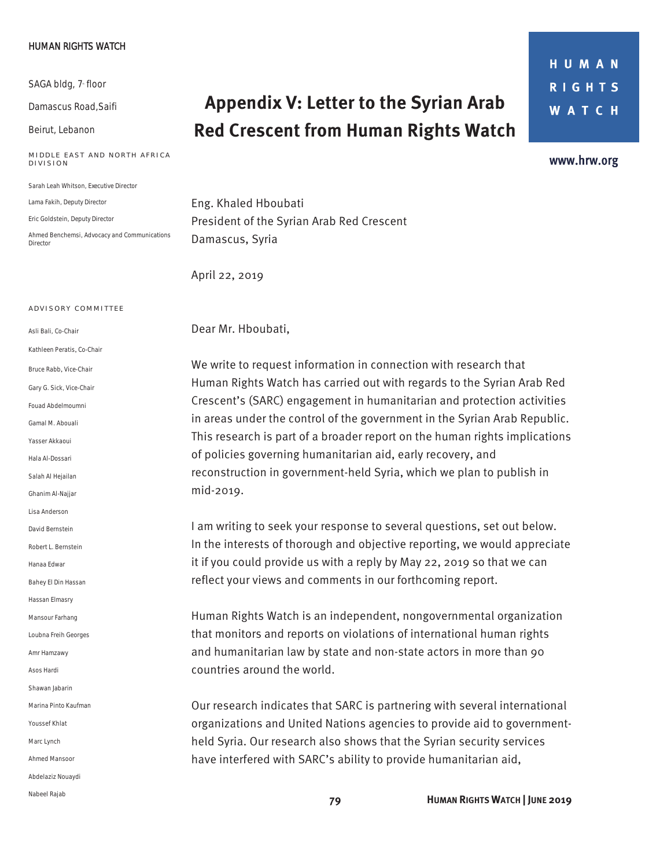#### HUMAN RIGHTS WATCH

SAGA bldg, 7<sup>-</sup> floor

Damascus Road,Saifi

Beirut, Lebanon

#### **MIDDLE EAST AND NORTH AFRICA DIVISION**

Sarah Leah Whitson, *Executive Director* 

Lama Fakih, *Deputy Director* 

Eric Goldstein, *Deputy Director* 

Ahmed Benchemsi, *Advocacy and Communications Director* 

#### **A DVISORY COMMITTEE**

Asli Bali, *Co-Chair* Kathleen Peratis, *Co-Chair*  Bruce Rabb, *Vice-Chair*  Gary G. Sick, *Vice-Chair* Fouad Abdelmoumni Gamal M. Abouali Yasser Akkaoui Hala Al-Dossari Salah Al Hejailan Ghanim Al-Najjar Lisa Anderson David Bernstein Robert L. Bernstein Hanaa Edwar Bahey El Din Hassan Hassan Elmasry Mansour Farhang Loubna Freih Georges Amr Hamzawy Asos Hardi Shawan Jabarin Marina Pinto Kaufman Youssef Khlat Marc Lynch Ahmed Mansoor Abdelaziz Nouaydi Nabeel Rajab

## **Appendix V: Letter to the Syrian Arab Red Crescent from Human Rights Watch**

HUMAN **RIGHTS WATCH** 

www.hrw.org

Eng. Khaled Hboubati President of the Syrian Arab Red Crescent Damascus, Syria

April 22, 2019

Dear Mr. Hboubati,

We write to request information in connection with research that Human Rights Watch has carried out with regards to the Syrian Arab Red Crescent's (SARC) engagement in humanitarian and protection activities in areas under the control of the government in the Syrian Arab Republic. This research is part of a broader report on the human rights implications of policies governing humanitarian aid, early recovery, and reconstruction in government-held Syria, which we plan to publish in mid-2019.

I am writing to seek your response to several questions, set out below. In the interests of thorough and objective reporting, we would appreciate it if you could provide us with a reply by May 22, 2019 so that we can reflect your views and comments in our forthcoming report.

Human Rights Watch is an independent, nongovernmental organization that monitors and reports on violations of international human rights and humanitarian law by state and non-state actors in more than 90 countries around the world.

Our research indicates that SARC is partnering with several international organizations and United Nations agencies to provide aid to governmentheld Syria. Our research also shows that the Syrian security services have interfered with SARC's ability to provide humanitarian aid,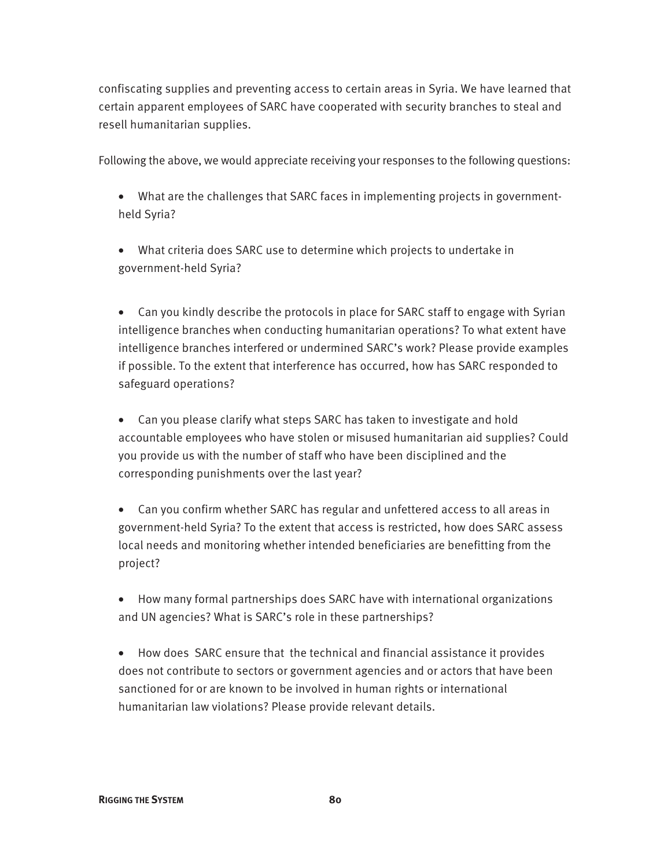confiscating supplies and preventing access to certain areas in Syria. We have learned that certain apparent employees of SARC have cooperated with security branches to steal and resell humanitarian supplies.

Following the above, we would appreciate receiving your responses to the following questions:

- What are the challenges that SARC faces in implementing projects in governmentheld Syria?
- What criteria does SARC use to determine which projects to undertake in government-held Syria?

• Can you kindly describe the protocols in place for SARC staff to engage with Syrian intelligence branches when conducting humanitarian operations? To what extent have intelligence branches interfered or undermined SARC's work? Please provide examples if possible. To the extent that interference has occurred, how has SARC responded to safeguard operations?

• Can you please clarify what steps SARC has taken to investigate and hold accountable employees who have stolen or misused humanitarian aid supplies? Could you provide us with the number of staff who have been disciplined and the corresponding punishments over the last year?

- Can you confirm whether SARC has regular and unfettered access to all areas in government-held Syria? To the extent that access is restricted, how does SARC assess local needs and monitoring whether intended beneficiaries are benefitting from the project?
- How many formal partnerships does SARC have with international organizations and UN agencies? What is SARC's role in these partnerships?
- How does SARC ensure that the technical and financial assistance it provides does not contribute to sectors or government agencies and or actors that have been sanctioned for or are known to be involved in human rights or international humanitarian law violations? Please provide relevant details.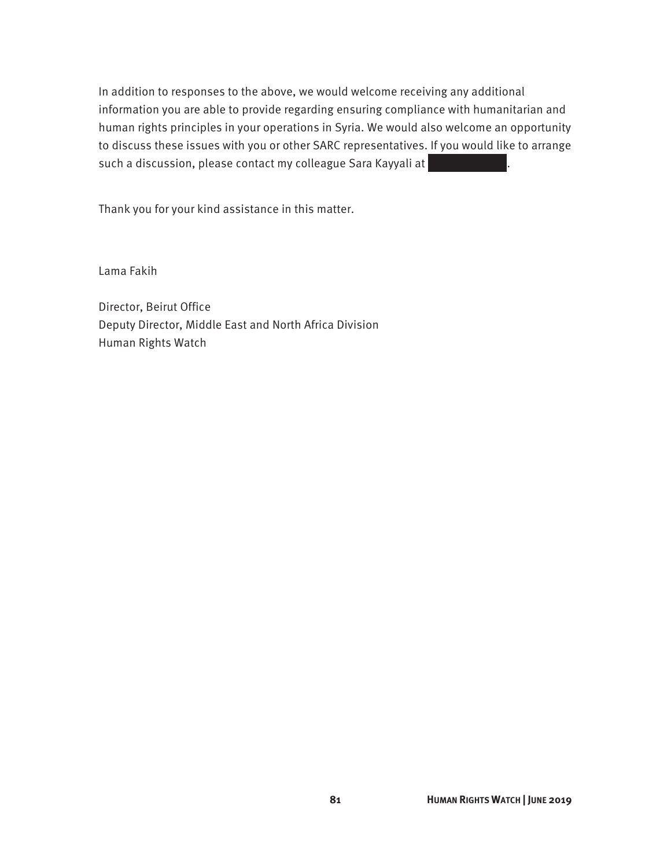In addition to responses to the above, we would welcome receiving any additional information you are able to provide regarding ensuring compliance with humanitarian and human rights principles in your operations in Syria. We would also welcome an opportunity to discuss these issues with you or other SARC representatives. If you would like to arrange such a discussion, please contact my colleague Sara Kayyali at

Thank you for your kind assistance in this matter.

Lama Fakih

Director, Beirut Office Deputy Director, Middle East and North Africa Division Human Rights Watch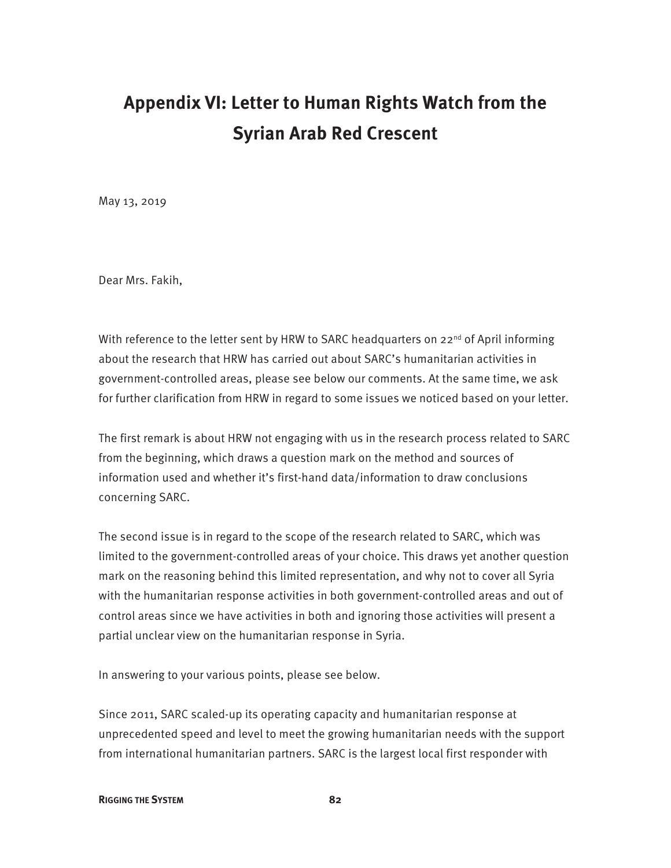## **Appendix VI: Letter to Human Rights Watch from the Syrian Arab Red Crescent**

May 13, 2019

Dear Mrs. Fakih,

With reference to the letter sent by HRW to SARC headquarters on  $22^{nd}$  of April informing about the research that HRW has carried out about SARC's humanitarian activities in government-controlled areas, please see below our comments. At the same time, we ask for further clarification from HRW in regard to some issues we noticed based on your letter.

The first remark is about HRW not engaging with us in the research process related to SARC from the beginning, which draws a question mark on the method and sources of information used and whether it's first-hand data/information to draw conclusions concerning SARC.

The second issue is in regard to the scope of the research related to SARC, which was limited to the government-controlled areas of your choice. This draws yet another question mark on the reasoning behind this limited representation, and why not to cover all Syria with the humanitarian response activities in both government-controlled areas and out of control areas since we have activities in both and ignoring those activities will present a partial unclear view on the humanitarian response in Syria.

In answering to your various points, please see below.

Since 2011, SARC scaled-up its operating capacity and humanitarian response at unprecedented speed and level to meet the growing humanitarian needs with the support from international humanitarian partners. SARC is the largest local first responder with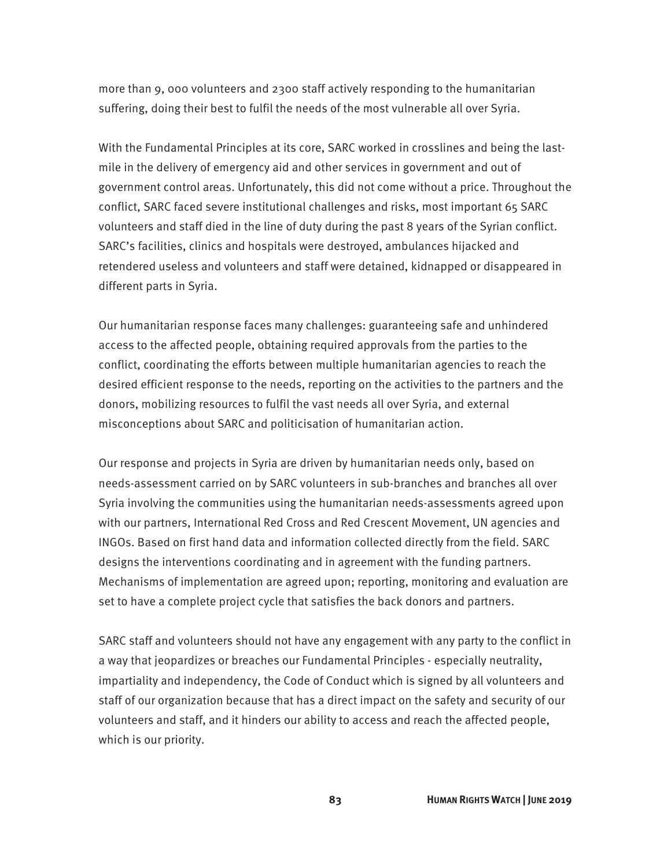more than 9, 000 volunteers and 2300 staff actively responding to the humanitarian suffering, doing their best to fulfil the needs of the most vulnerable all over Syria.

With the Fundamental Principles at its core, SARC worked in crosslines and being the lastmile in the delivery of emergency aid and other services in government and out of government control areas. Unfortunately, this did not come without a price. Throughout the conflict, SARC faced severe institutional challenges and risks, most important 65 SARC volunteers and staff died in the line of duty during the past 8 years of the Syrian conflict. SARC's facilities, clinics and hospitals were destroyed, ambulances hijacked and retendered useless and volunteers and staff were detained, kidnapped or disappeared in different parts in Syria.

Our humanitarian response faces many challenges: guaranteeing safe and unhindered access to the affected people, obtaining required approvals from the parties to the conflict, coordinating the efforts between multiple humanitarian agencies to reach the desired efficient response to the needs, reporting on the activities to the partners and the donors, mobilizing resources to fulfil the vast needs all over Syria, and external misconceptions about SARC and politicisation of humanitarian action.

Our response and projects in Syria are driven by humanitarian needs only, based on needs-assessment carried on by SARC volunteers in sub-branches and branches all over Syria involving the communities using the humanitarian needs-assessments agreed upon with our partners, International Red Cross and Red Crescent Movement, UN agencies and INGOs. Based on first hand data and information collected directly from the field. SARC designs the interventions coordinating and in agreement with the funding partners. Mechanisms of implementation are agreed upon; reporting, monitoring and evaluation are set to have a complete project cycle that satisfies the back donors and partners.

SARC staff and volunteers should not have any engagement with any party to the conflict in a way that jeopardizes or breaches our Fundamental Principles - especially neutrality, impartiality and independency, the Code of Conduct which is signed by all volunteers and staff of our organization because that has a direct impact on the safety and security of our volunteers and staff, and it hinders our ability to access and reach the affected people, which is our priority.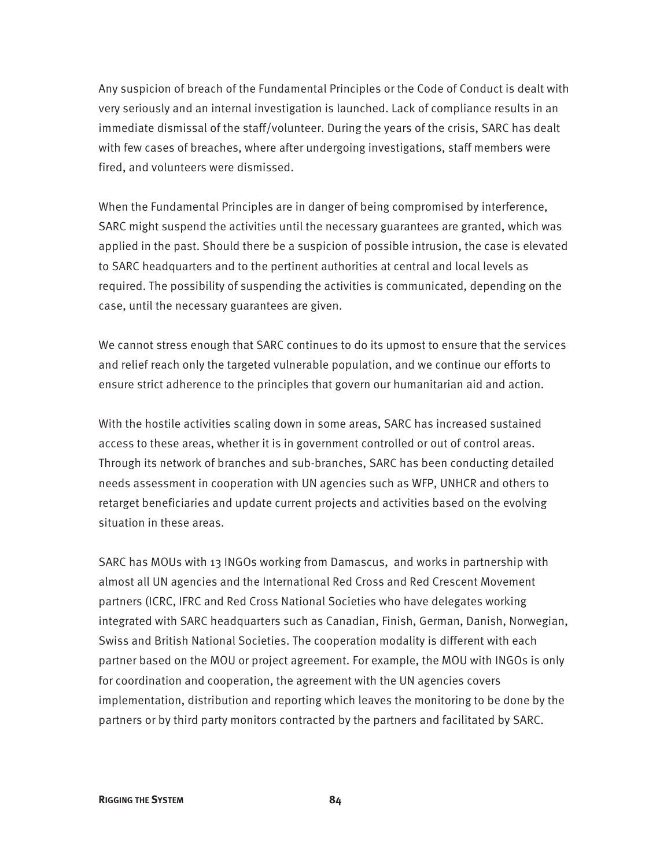Any suspicion of breach of the Fundamental Principles or the Code of Conduct is dealt with very seriously and an internal investigation is launched. Lack of compliance results in an immediate dismissal of the staff/volunteer. During the years of the crisis, SARC has dealt with few cases of breaches, where after undergoing investigations, staff members were fired, and volunteers were dismissed.

When the Fundamental Principles are in danger of being compromised by interference, SARC might suspend the activities until the necessary guarantees are granted, which was applied in the past. Should there be a suspicion of possible intrusion, the case is elevated to SARC headquarters and to the pertinent authorities at central and local levels as required. The possibility of suspending the activities is communicated, depending on the case, until the necessary guarantees are given.

We cannot stress enough that SARC continues to do its upmost to ensure that the services and relief reach only the targeted vulnerable population, and we continue our efforts to ensure strict adherence to the principles that govern our humanitarian aid and action.

With the hostile activities scaling down in some areas, SARC has increased sustained access to these areas, whether it is in government controlled or out of control areas. Through its network of branches and sub-branches, SARC has been conducting detailed needs assessment in cooperation with UN agencies such as WFP, UNHCR and others to retarget beneficiaries and update current projects and activities based on the evolving situation in these areas.

SARC has MOUs with 13 INGOs working from Damascus, and works in partnership with almost all UN agencies and the International Red Cross and Red Crescent Movement partners (ICRC, IFRC and Red Cross National Societies who have delegates working integrated with SARC headquarters such as Canadian, Finish, German, Danish, Norwegian, Swiss and British National Societies. The cooperation modality is different with each partner based on the MOU or project agreement. For example, the MOU with INGOs is only for coordination and cooperation, the agreement with the UN agencies covers implementation, distribution and reporting which leaves the monitoring to be done by the partners or by third party monitors contracted by the partners and facilitated by SARC.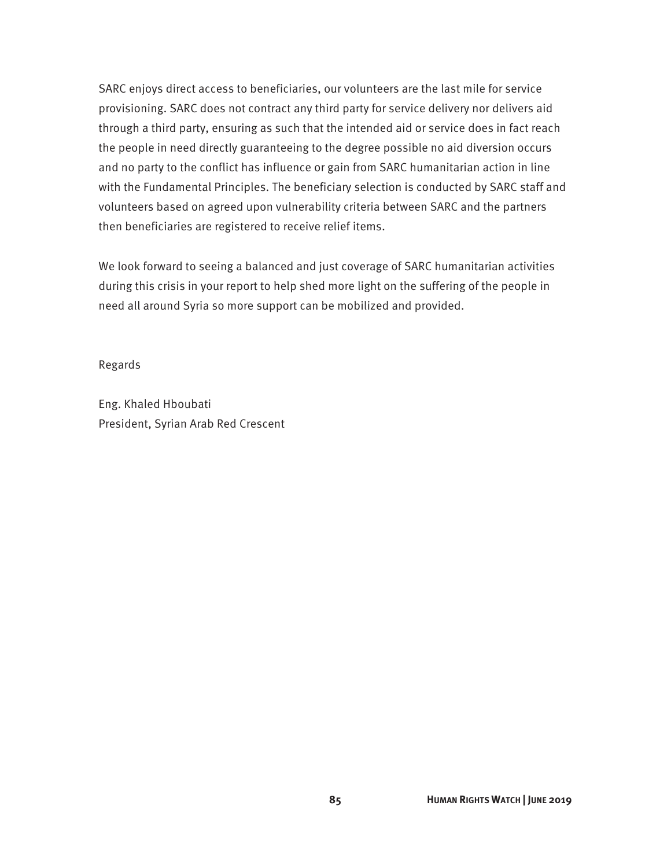SARC enjoys direct access to beneficiaries, our volunteers are the last mile for service provisioning. SARC does not contract any third party for service delivery nor delivers aid through a third party, ensuring as such that the intended aid or service does in fact reach the people in need directly guaranteeing to the degree possible no aid diversion occurs and no party to the conflict has influence or gain from SARC humanitarian action in line with the Fundamental Principles. The beneficiary selection is conducted by SARC staff and volunteers based on agreed upon vulnerability criteria between SARC and the partners then beneficiaries are registered to receive relief items.

We look forward to seeing a balanced and just coverage of SARC humanitarian activities during this crisis in your report to help shed more light on the suffering of the people in need all around Syria so more support can be mobilized and provided.

Regards

Eng. Khaled Hboubati President, Syrian Arab Red Crescent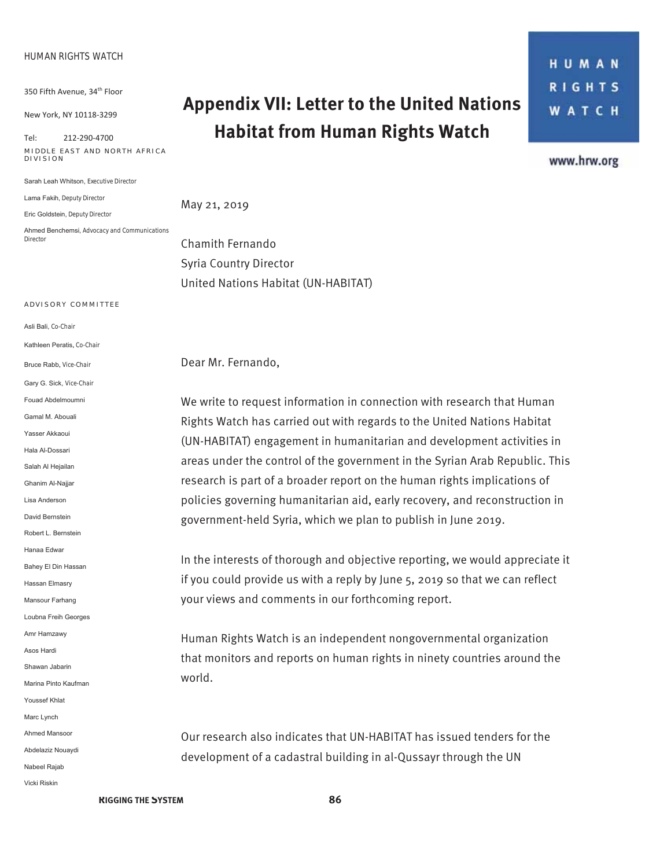#### **HUMAN RIGHTS WATCH**

350 Fifth Avenue, 34<sup>th</sup> Floor

New York, NY 10118-3299

 $Tel: 212-290-4700$ **MIDDLE EAST AND NORTH AFRICA DIVISION** 

Sarah Leah Whitson, Executive Director

Lama Fakih. Deputy Director

Eric Goldstein, Deputy Director

 $A$ hmed Benchemsi, Advocacy and Communications *Director* 

### **Appendix VII: Letter to the United Nations Habitat from Human Rights Watch**

HUMAN **RIGHTS WATCH** 

www.hrw.org

May 21, 2019

Chamith Fernando Syria Country Director United Nations Habitat (UN-HABITAT)

#### **A DVISORY COMMITTEE**

Asli Bali, Co-Chair

Kathleen Peratis, *Co-Chair* 

Bruce Rabb, *Vice-Chair* Gary G. Sick. Vice-Chair Fouad Abdelmoumni Gamal M. Abouali Yasser Akkanui Hala Al-Dossari Salah Al Heiailan Ghanim Al-Najjar Lisa Anderson David Bernstein Robert L. Bernstein Hanaa Edwar Bahey El Din Hassan Hassan Elmasry Mansour Farhang Loubna Freih Georges Amr Hamzawy Asos Hardi Shawan Jabarin Marina Pinto Kaufman Youssef Khlat Marc Lynch Ahmed Mansoor Abdelaziz Nouaydi Nabeel Rajab Vicki Riskin

Dear Mr. Fernando,

We write to request information in connection with research that Human Rights Watch has carried out with regards to the United Nations Habitat (UN-HABITAT) engagement in humanitarian and development activities in areas under the control of the government in the Syrian Arab Republic. This research is part of a broader report on the human rights implications of policies governing humanitarian aid, early recovery, and reconstruction in government-held Syria, which we plan to publish in June 2019.

In the interests of thorough and objective reporting, we would appreciate it if you could provide us with a reply by June 5, 2019 so that we can reflect your views and comments in our forthcoming report.

Human Rights Watch is an independent nongovernmental organization that monitors and reports on human rights in ninety countries around the world.

Our research also indicates that UN-HABITAT has issued tenders for the development of a cadastral building in al-Qussayr through the UN

**RIGGING THE SYSTEM 86**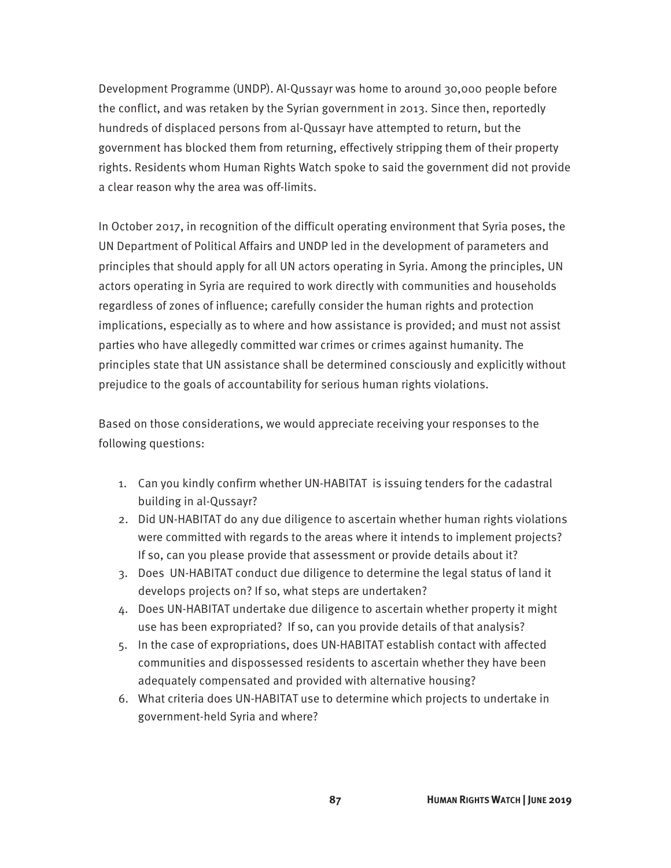Development Programme (UNDP). Al-Qussayr was home to around 30,000 people before the conflict, and was retaken by the Syrian government in 2013. Since then, reportedly hundreds of displaced persons from al-Qussayr have attempted to return, but the government has blocked them from returning, effectively stripping them of their property rights. Residents whom Human Rights Watch spoke to said the government did not provide a clear reason why the area was off-limits.

In October 2017, in recognition of the difficult operating environment that Syria poses, the UN Department of Political Affairs and UNDP led in the development of parameters and principles that should apply for all UN actors operating in Syria. Among the principles, UN actors operating in Syria are required to work directly with communities and households regardless of zones of influence; carefully consider the human rights and protection implications, especially as to where and how assistance is provided; and must not assist parties who have allegedly committed war crimes or crimes against humanity. The principles state that UN assistance shall be determined consciously and explicitly without prejudice to the goals of accountability for serious human rights violations.

Based on those considerations, we would appreciate receiving your responses to the following questions:

- 1. Can you kindly confirm whether UN-HABITAT is issuing tenders for the cadastral building in al-Qussayr?
- 2. Did UN-HABITAT do any due diligence to ascertain whether human rights violations were committed with regards to the areas where it intends to implement projects? If so, can you please provide that assessment or provide details about it?
- 3. Does UN-HABITAT conduct due diligence to determine the legal status of land it develops projects on? If so, what steps are undertaken?
- 4. Does UN-HABITAT undertake due diligence to ascertain whether property it might use has been expropriated? If so, can you provide details of that analysis?
- 5. In the case of expropriations, does UN-HABITAT establish contact with affected communities and dispossessed residents to ascertain whether they have been adequately compensated and provided with alternative housing?
- 6. What criteria does UN-HABITAT use to determine which projects to undertake in government-held Syria and where?